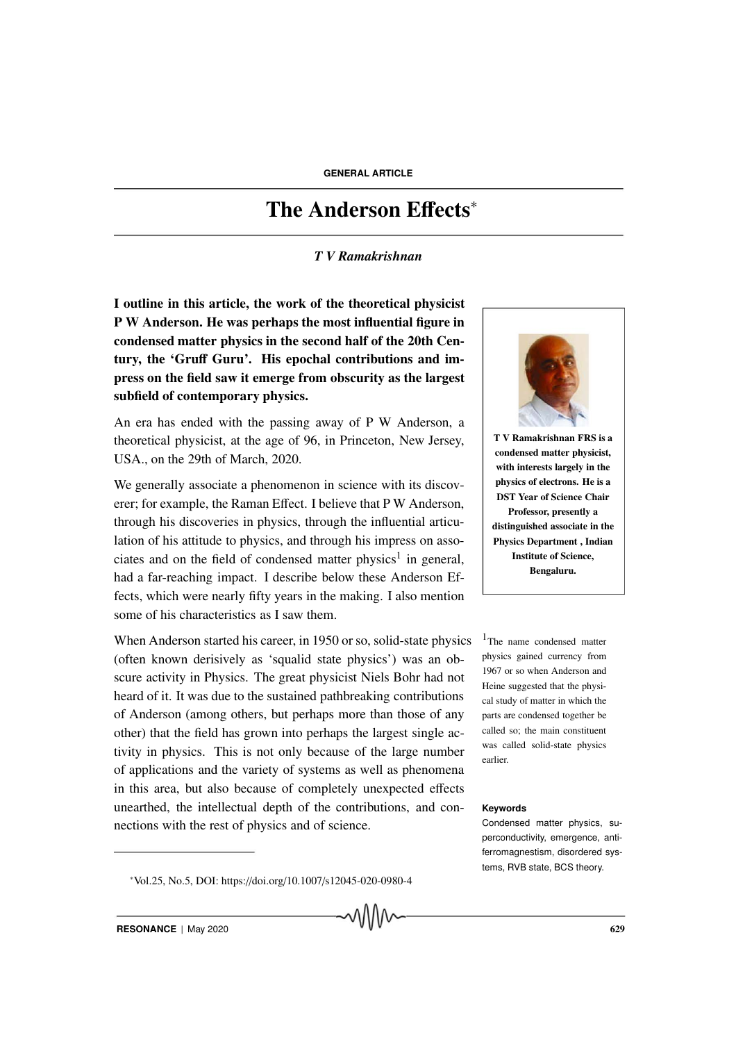# The Anderson Effects<sup>\*</sup>

# *T V Ramakrishnan*

I outline in this article, the work of the theoretical physicist P W Anderson. He was perhaps the most influential figure in condensed matter physics in the second half of the 20th Century, the 'Gruff Guru'. His epochal contributions and impress on the field saw it emerge from obscurity as the largest subfield of contemporary physics.

An era has ended with the passing away of P W Anderson, a theoretical physicist, at the age of 96, in Princeton, New Jersey, USA., on the 29th of March, 2020.

We generally associate a phenomenon in science with its discoverer; for example, the Raman Effect. I believe that P W Anderson, through his discoveries in physics, through the influential articulation of his attitude to physics, and through his impress on associates and on the field of condensed matter physics<sup>1</sup> in general, had a far-reaching impact. I describe below these Anderson Effects, which were nearly fifty years in the making. I also mention some of his characteristics as I saw them.

When Anderson started his career, in 1950 or so, solid-state physics  $^{-1}$ The name condensed matter (often known derisively as 'squalid state physics') was an obscure activity in Physics. The great physicist Niels Bohr had not heard of it. It was due to the sustained pathbreaking contributions of Anderson (among others, but perhaps more than those of any other) that the field has grown into perhaps the largest single activity in physics. This is not only because of the large number of applications and the variety of systems as well as phenomena in this area, but also because of completely unexpected effects unearthed, the intellectual depth of the contributions, and con- **Keywords** nections with the rest of physics and of science.

<sup>∗</sup>Vol.25, No.5, DOI: https://doi.org/10.1007/s12045-020-0980-4



T V Ramakrishnan FRS is a condensed matter physicist, with interests largely in the physics of electrons. He is a DST Year of Science Chair Professor, presently a distinguished associate in the Physics Department , Indian Institute of Science, Bengaluru.

physics gained currency from 1967 or so when Anderson and Heine suggested that the physical study of matter in which the parts are condensed together be called so; the main constituent was called solid-state physics earlier.

Condensed matter physics, superconductivity, emergence, antiferromagnestism, disordered systems, RVB state, BCS theory.

 $RESONANCE | May 2020$  629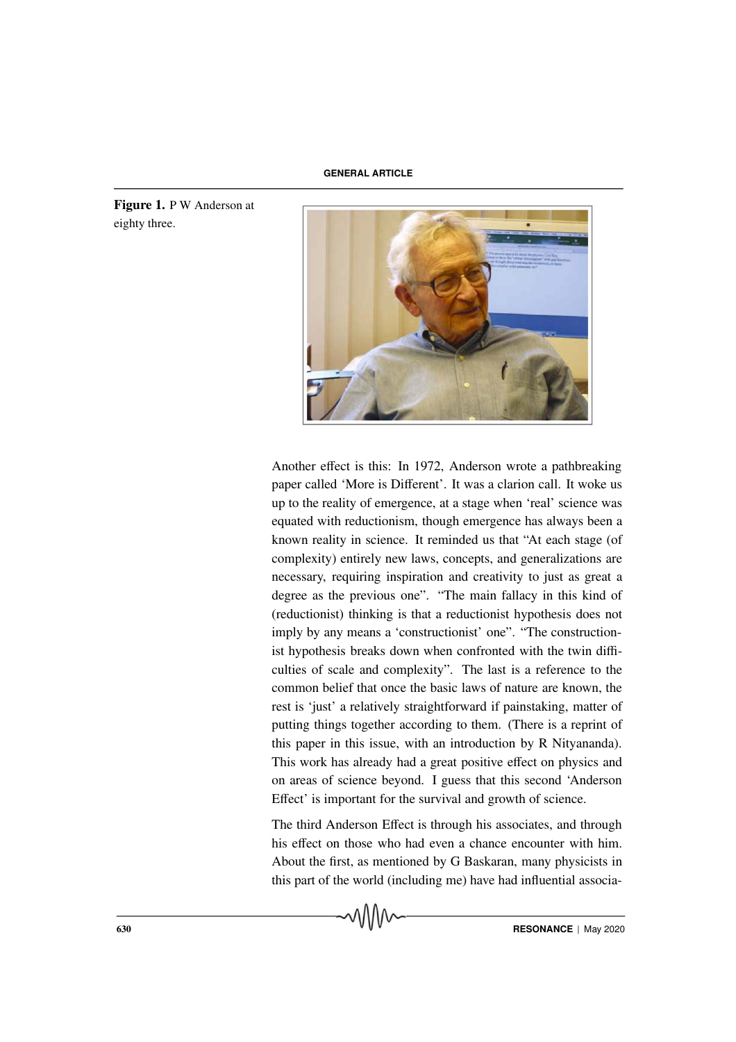Figure 1. P W Anderson at eighty three.



Another effect is this: In 1972, Anderson wrote a pathbreaking paper called 'More is Different'. It was a clarion call. It woke us up to the reality of emergence, at a stage when 'real' science was equated with reductionism, though emergence has always been a known reality in science. It reminded us that "At each stage (of complexity) entirely new laws, concepts, and generalizations are necessary, requiring inspiration and creativity to just as great a degree as the previous one". "The main fallacy in this kind of (reductionist) thinking is that a reductionist hypothesis does not imply by any means a 'constructionist' one". "The constructionist hypothesis breaks down when confronted with the twin difficulties of scale and complexity". The last is a reference to the common belief that once the basic laws of nature are known, the rest is 'just' a relatively straightforward if painstaking, matter of putting things together according to them. (There is a reprint of this paper in this issue, with an introduction by R Nityananda). This work has already had a great positive effect on physics and on areas of science beyond. I guess that this second 'Anderson Effect' is important for the survival and growth of science.

The third Anderson Effect is through his associates, and through his effect on those who had even a chance encounter with him. About the first, as mentioned by G Baskaran, many physicists in this part of the world (including me) have had influential associa-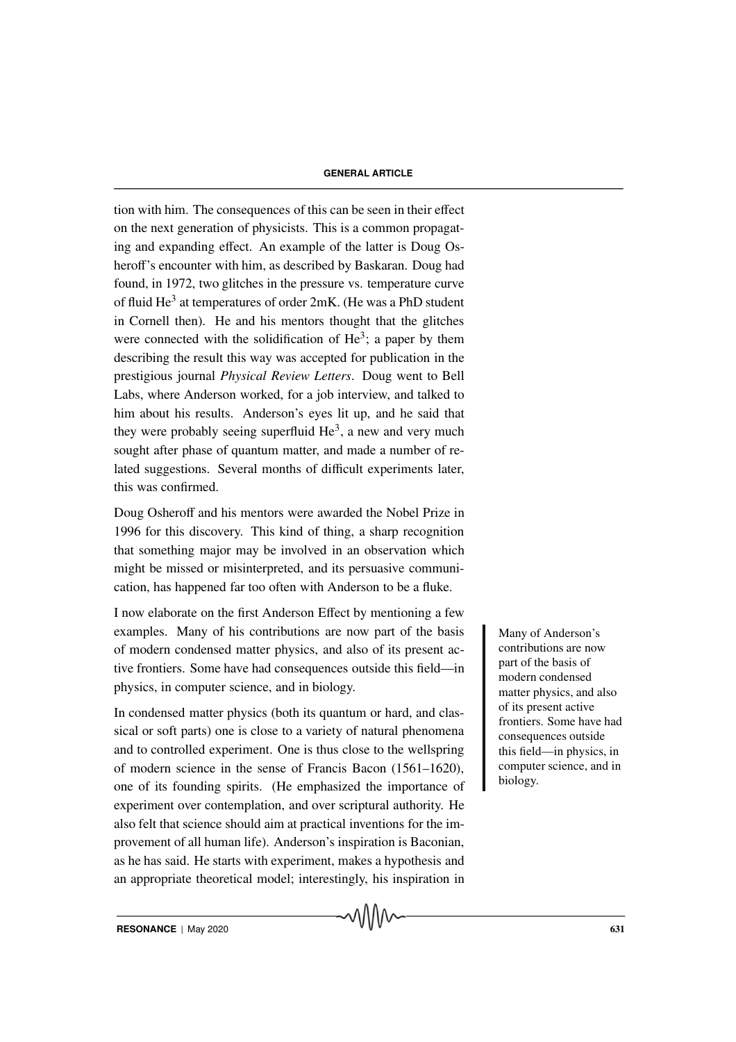tion with him. The consequences of this can be seen in their effect on the next generation of physicists. This is a common propagating and expanding effect. An example of the latter is Doug Osheroff's encounter with him, as described by Baskaran. Doug had found, in 1972, two glitches in the pressure vs. temperature curve of fluid He<sup>3</sup> at temperatures of order 2mK. (He was a PhD student in Cornell then). He and his mentors thought that the glitches were connected with the solidification of  $He^{3}$ ; a paper by them describing the result this way was accepted for publication in the prestigious journal *Physical Review Letters*. Doug went to Bell Labs, where Anderson worked, for a job interview, and talked to him about his results. Anderson's eyes lit up, and he said that they were probably seeing superfluid  $He<sup>3</sup>$ , a new and very much sought after phase of quantum matter, and made a number of related suggestions. Several months of difficult experiments later, this was confirmed.

Doug Osheroff and his mentors were awarded the Nobel Prize in 1996 for this discovery. This kind of thing, a sharp recognition that something major may be involved in an observation which might be missed or misinterpreted, and its persuasive communication, has happened far too often with Anderson to be a fluke.

I now elaborate on the first Anderson Effect by mentioning a few examples. Many of his contributions are now part of the basis Many of Anderson's of modern condensed matter physics, and also of its present active frontiers. Some have had consequences outside this field—in physics, in computer science, and in biology.

In condensed matter physics (both its quantum or hard, and classical or soft parts) one is close to a variety of natural phenomena and to controlled experiment. One is thus close to the wellspring of modern science in the sense of Francis Bacon (1561–1620), one of its founding spirits. (He emphasized the importance of experiment over contemplation, and over scriptural authority. He also felt that science should aim at practical inventions for the improvement of all human life). Anderson's inspiration is Baconian, as he has said. He starts with experiment, makes a hypothesis and an appropriate theoretical model; interestingly, his inspiration in contributions are now part of the basis of modern condensed matter physics, and also of its present active frontiers. Some have had consequences outside this field—in physics, in computer science, and in biology.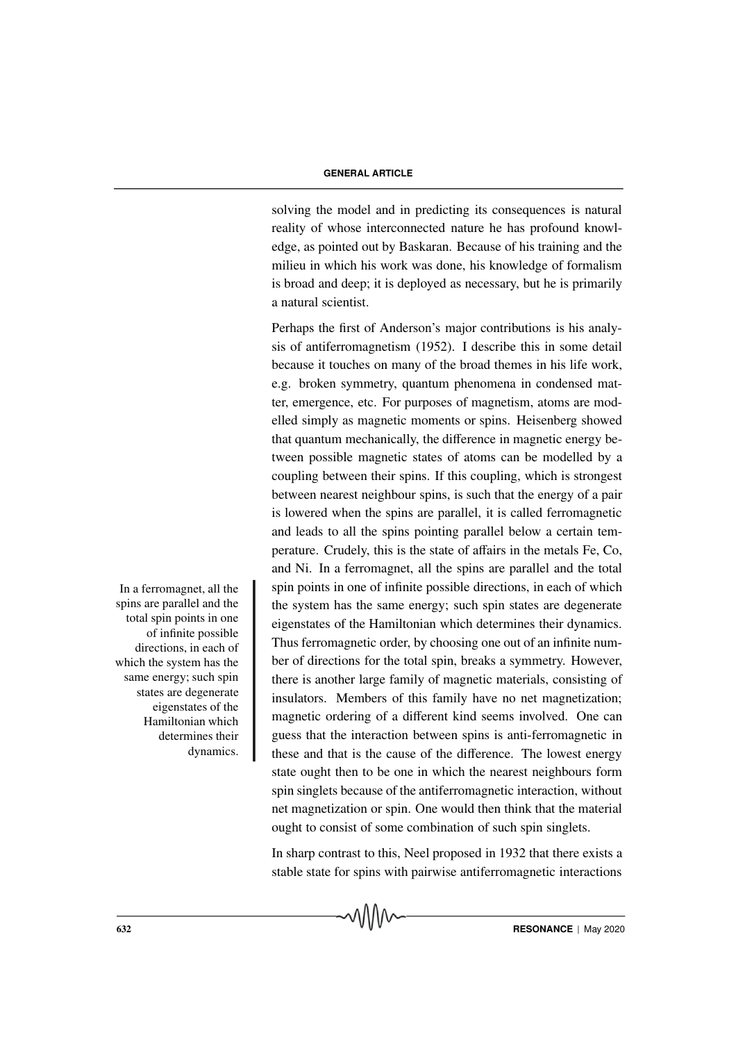solving the model and in predicting its consequences is natural reality of whose interconnected nature he has profound knowledge, as pointed out by Baskaran. Because of his training and the milieu in which his work was done, his knowledge of formalism is broad and deep; it is deployed as necessary, but he is primarily a natural scientist.

Perhaps the first of Anderson's major contributions is his analysis of antiferromagnetism (1952). I describe this in some detail because it touches on many of the broad themes in his life work, e.g. broken symmetry, quantum phenomena in condensed matter, emergence, etc. For purposes of magnetism, atoms are modelled simply as magnetic moments or spins. Heisenberg showed that quantum mechanically, the difference in magnetic energy between possible magnetic states of atoms can be modelled by a coupling between their spins. If this coupling, which is strongest between nearest neighbour spins, is such that the energy of a pair is lowered when the spins are parallel, it is called ferromagnetic and leads to all the spins pointing parallel below a certain temperature. Crudely, this is the state of affairs in the metals Fe, Co, and Ni. In a ferromagnet, all the spins are parallel and the total In a ferromagnet, all the  $\parallel$  spin points in one of infinite possible directions, in each of which the system has the same energy; such spin states are degenerate eigenstates of the Hamiltonian which determines their dynamics. Thus ferromagnetic order, by choosing one out of an infinite number of directions for the total spin, breaks a symmetry. However, there is another large family of magnetic materials, consisting of insulators. Members of this family have no net magnetization; magnetic ordering of a different kind seems involved. One can guess that the interaction between spins is anti-ferromagnetic in these and that is the cause of the difference. The lowest energy state ought then to be one in which the nearest neighbours form spin singlets because of the antiferromagnetic interaction, without net magnetization or spin. One would then think that the material ought to consist of some combination of such spin singlets.

> In sharp contrast to this, Neel proposed in 1932 that there exists a stable state for spins with pairwise antiferromagnetic interactions

spins are parallel and the total spin points in one of infinite possible directions, in each of which the system has the same energy; such spin states are degenerate eigenstates of the Hamiltonian which determines their dynamics.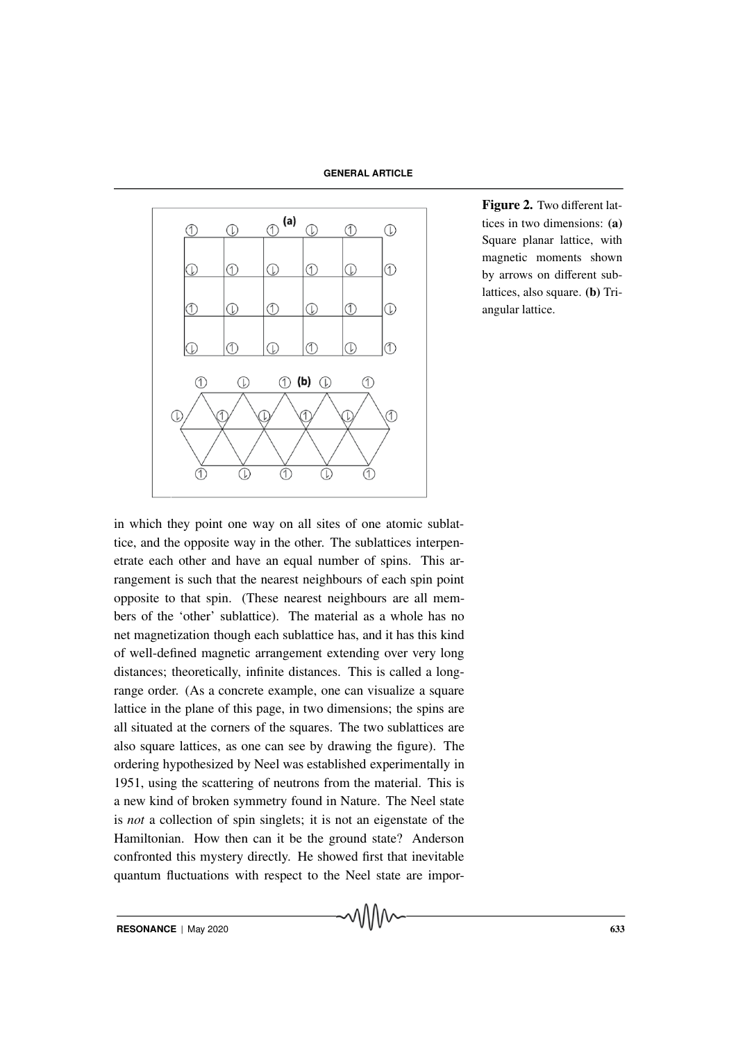

Figure 2. Two different lattices in two dimensions: (a) Square planar lattice, with magnetic moments shown by arrows on different sublattices, also square. (b) Triangular lattice.

in which they point one way on all sites of one atomic sublattice, and the opposite way in the other. The sublattices interpenetrate each other and have an equal number of spins. This arrangement is such that the nearest neighbours of each spin point opposite to that spin. (These nearest neighbours are all members of the 'other' sublattice). The material as a whole has no net magnetization though each sublattice has, and it has this kind of well-defined magnetic arrangement extending over very long distances; theoretically, infinite distances. This is called a longrange order. (As a concrete example, one can visualize a square lattice in the plane of this page, in two dimensions; the spins are all situated at the corners of the squares. The two sublattices are also square lattices, as one can see by drawing the figure). The ordering hypothesized by Neel was established experimentally in 1951, using the scattering of neutrons from the material. This is a new kind of broken symmetry found in Nature. The Neel state is *not* a collection of spin singlets; it is not an eigenstate of the Hamiltonian. How then can it be the ground state? Anderson confronted this mystery directly. He showed first that inevitable quantum fluctuations with respect to the Neel state are impor-

 $RESONANCE | May 2020$  633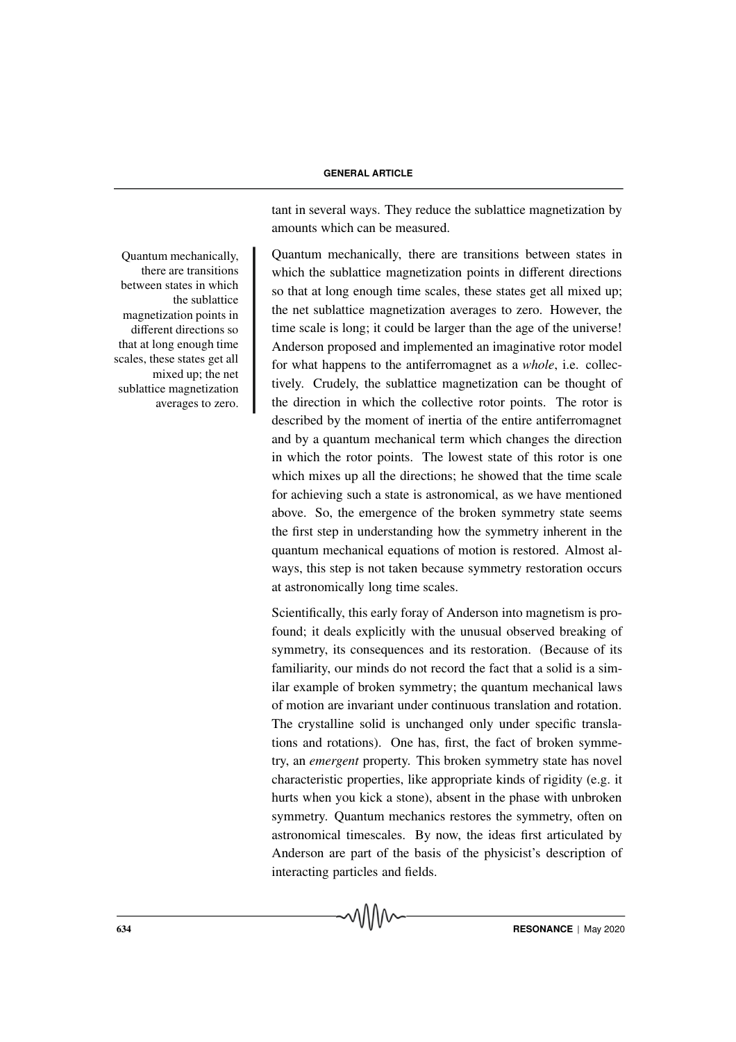tant in several ways. They reduce the sublattice magnetization by amounts which can be measured.

mechanically, there are transitions between states in which the sublattice magnetization points in different directions so that at long enough time scales, these states get all mixed up; the net sublattice magnetization averages to zero. However, the time scale is long; it could be larger than the age of the universe! Anderson proposed and implemented an imaginative rotor model for what happens to the antiferromagnet as a *whole*, i.e. collectively. Crudely, the sublattice magnetization can be thought of the direction in which the collective rotor points. The rotor is described by the moment of inertia of the entire antiferromagnet and by a quantum mechanical term which changes the direction in which the rotor points. The lowest state of this rotor is one which mixes up all the directions; he showed that the time scale for achieving such a state is astronomical, as we have mentioned above. So, the emergence of the broken symmetry state seems the first step in understanding how the symmetry inherent in the quantum mechanical equations of motion is restored. Almost always, this step is not taken because symmetry restoration occurs at astronomically long time scales.

Scientifically, this early foray of Anderson into magnetism is profound; it deals explicitly with the unusual observed breaking of symmetry, its consequences and its restoration. (Because of its familiarity, our minds do not record the fact that a solid is a similar example of broken symmetry; the quantum mechanical laws of motion are invariant under continuous translation and rotation. The crystalline solid is unchanged only under specific translations and rotations). One has, first, the fact of broken symmetry, an *emergent* property. This broken symmetry state has novel characteristic properties, like appropriate kinds of rigidity (e.g. it hurts when you kick a stone), absent in the phase with unbroken symmetry. Quantum mechanics restores the symmetry, often on astronomical timescales. By now, the ideas first articulated by Anderson are part of the basis of the physicist's description of interacting particles and fields.

Quantum mechanically, Quantum there are transitions between states in which the sublattice magnetization points in different directions so that at long enough time scales, these states get all mixed up; the net sublattice magnetization averages to zero.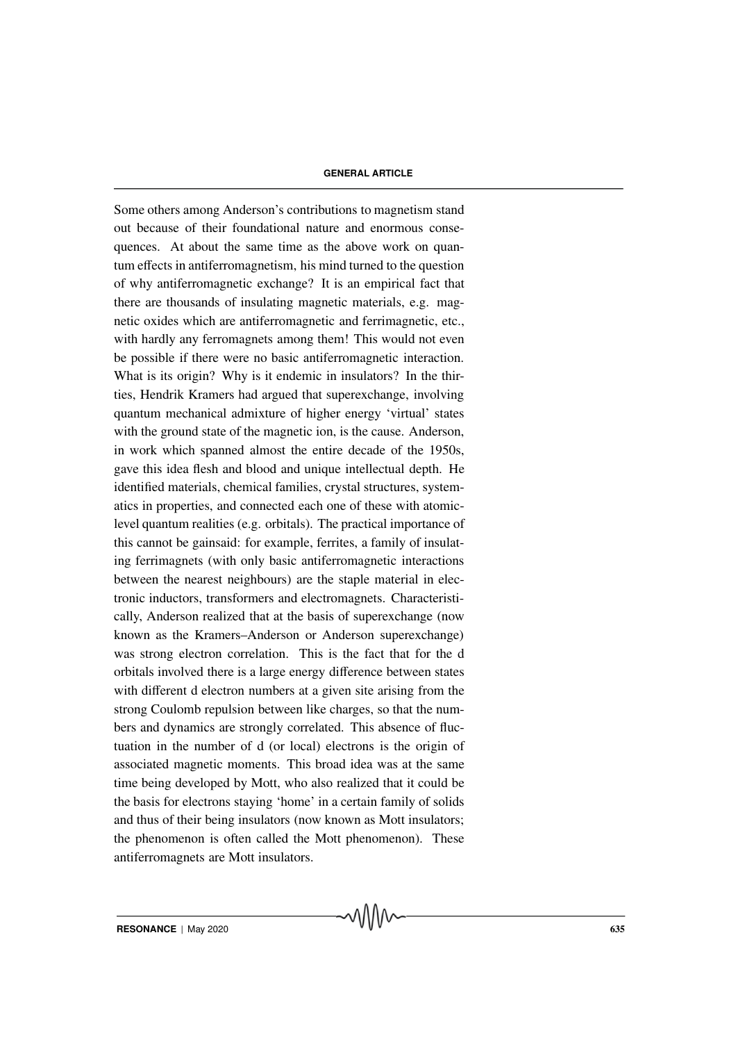Some others among Anderson's contributions to magnetism stand out because of their foundational nature and enormous consequences. At about the same time as the above work on quantum effects in antiferromagnetism, his mind turned to the question of why antiferromagnetic exchange? It is an empirical fact that there are thousands of insulating magnetic materials, e.g. magnetic oxides which are antiferromagnetic and ferrimagnetic, etc., with hardly any ferromagnets among them! This would not even be possible if there were no basic antiferromagnetic interaction. What is its origin? Why is it endemic in insulators? In the thirties, Hendrik Kramers had argued that superexchange, involving quantum mechanical admixture of higher energy 'virtual' states with the ground state of the magnetic ion, is the cause. Anderson, in work which spanned almost the entire decade of the 1950s, gave this idea flesh and blood and unique intellectual depth. He identified materials, chemical families, crystal structures, systematics in properties, and connected each one of these with atomiclevel quantum realities (e.g. orbitals). The practical importance of this cannot be gainsaid: for example, ferrites, a family of insulating ferrimagnets (with only basic antiferromagnetic interactions between the nearest neighbours) are the staple material in electronic inductors, transformers and electromagnets. Characteristically, Anderson realized that at the basis of superexchange (now known as the Kramers–Anderson or Anderson superexchange) was strong electron correlation. This is the fact that for the d orbitals involved there is a large energy difference between states with different d electron numbers at a given site arising from the strong Coulomb repulsion between like charges, so that the numbers and dynamics are strongly correlated. This absence of fluctuation in the number of d (or local) electrons is the origin of associated magnetic moments. This broad idea was at the same time being developed by Mott, who also realized that it could be the basis for electrons staying 'home' in a certain family of solids and thus of their being insulators (now known as Mott insulators; the phenomenon is often called the Mott phenomenon). These antiferromagnets are Mott insulators.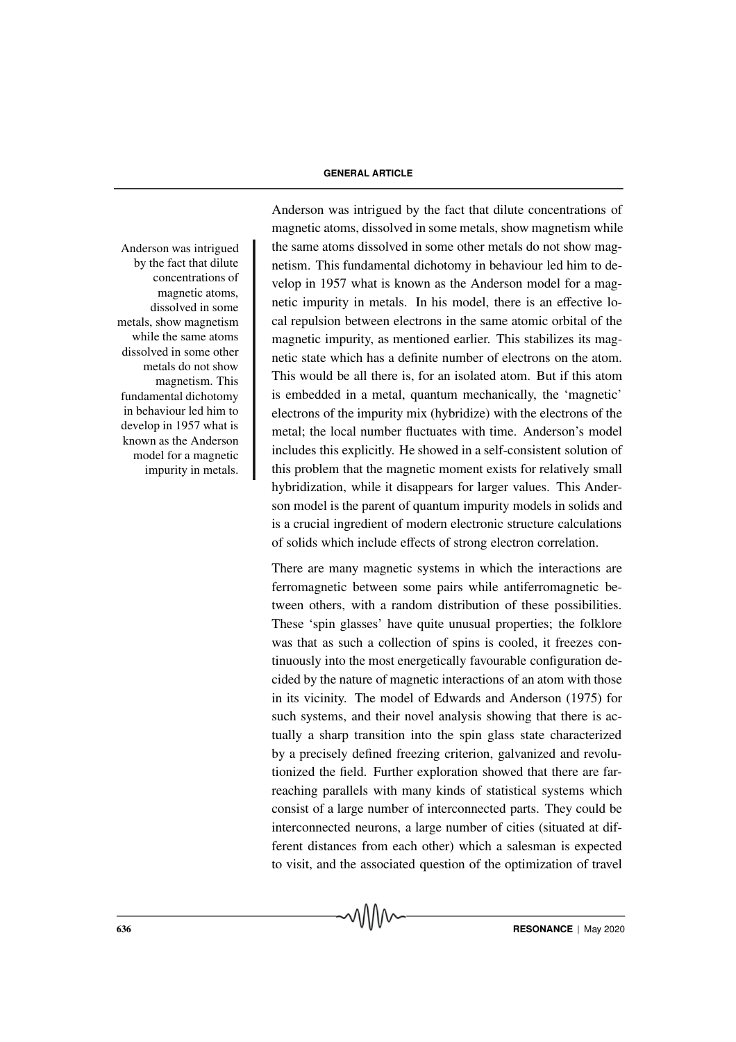by the fact that dilute concentrations of magnetic atoms, dissolved in some metals, show magnetism while the same atoms dissolved in some other metals do not show magnetism. This fundamental dichotomy in behaviour led him to develop in 1957 what is known as the Anderson model for a magnetic impurity in metals.

Anderson was intrigued by the fact that dilute concentrations of magnetic atoms, dissolved in some metals, show magnetism while Anderson was intrigued the same atoms dissolved in some other metals do not show magnetism. This fundamental dichotomy in behaviour led him to develop in 1957 what is known as the Anderson model for a magnetic impurity in metals. In his model, there is an effective local repulsion between electrons in the same atomic orbital of the magnetic impurity, as mentioned earlier. This stabilizes its magnetic state which has a definite number of electrons on the atom. This would be all there is, for an isolated atom. But if this atom is embedded in a metal, quantum mechanically, the 'magnetic' electrons of the impurity mix (hybridize) with the electrons of the metal; the local number fluctuates with time. Anderson's model includes this explicitly. He showed in a self-consistent solution of this problem that the magnetic moment exists for relatively small hybridization, while it disappears for larger values. This Anderson model is the parent of quantum impurity models in solids and is a crucial ingredient of modern electronic structure calculations of solids which include effects of strong electron correlation.

> There are many magnetic systems in which the interactions are ferromagnetic between some pairs while antiferromagnetic between others, with a random distribution of these possibilities. These 'spin glasses' have quite unusual properties; the folklore was that as such a collection of spins is cooled, it freezes continuously into the most energetically favourable configuration decided by the nature of magnetic interactions of an atom with those in its vicinity. The model of Edwards and Anderson (1975) for such systems, and their novel analysis showing that there is actually a sharp transition into the spin glass state characterized by a precisely defined freezing criterion, galvanized and revolutionized the field. Further exploration showed that there are farreaching parallels with many kinds of statistical systems which consist of a large number of interconnected parts. They could be interconnected neurons, a large number of cities (situated at different distances from each other) which a salesman is expected to visit, and the associated question of the optimization of travel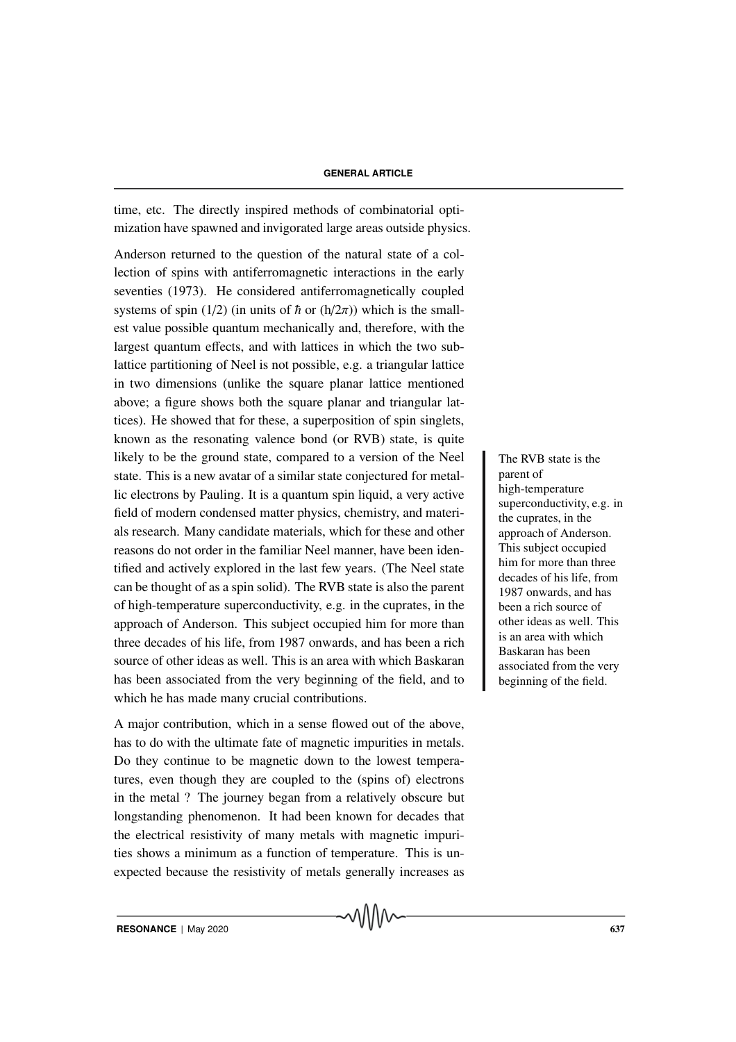time, etc. The directly inspired methods of combinatorial optimization have spawned and invigorated large areas outside physics.

Anderson returned to the question of the natural state of a collection of spins with antiferromagnetic interactions in the early seventies (1973). He considered antiferromagnetically coupled systems of spin (1/2) (in units of  $\hbar$  or (h/2 $\pi$ )) which is the smallest value possible quantum mechanically and, therefore, with the largest quantum effects, and with lattices in which the two sublattice partitioning of Neel is not possible, e.g. a triangular lattice in two dimensions (unlike the square planar lattice mentioned above; a figure shows both the square planar and triangular lattices). He showed that for these, a superposition of spin singlets, known as the resonating valence bond (or RVB) state, is quite likely to be the ground state, compared to a version of the Neel state. This is a new avatar of a similar state conjectured for metallic electrons by Pauling. It is a quantum spin liquid, a very active field of modern condensed matter physics, chemistry, and materials research. Many candidate materials, which for these and other reasons do not order in the familiar Neel manner, have been identified and actively explored in the last few years. (The Neel state can be thought of as a spin solid). The RVB state is also the parent of high-temperature superconductivity, e.g. in the cuprates, in the approach of Anderson. This subject occupied him for more than three decades of his life, from 1987 onwards, and has been a rich source of other ideas as well. This is an area with which Baskaran has been associated from the very beginning of the field, and to which he has made many crucial contributions.

A major contribution, which in a sense flowed out of the above, has to do with the ultimate fate of magnetic impurities in metals. Do they continue to be magnetic down to the lowest temperatures, even though they are coupled to the (spins of) electrons in the metal ? The journey began from a relatively obscure but longstanding phenomenon. It had been known for decades that the electrical resistivity of many metals with magnetic impurities shows a minimum as a function of temperature. This is unexpected because the resistivity of metals generally increases as

The RVB state is the parent of high-temperature superconductivity, e.g. in the cuprates, in the approach of Anderson. This subject occupied him for more than three decades of his life, from 1987 onwards, and has been a rich source of other ideas as well. This is an area with which Baskaran has been associated from the very beginning of the field.

 $RESONANCE | May 2020$  637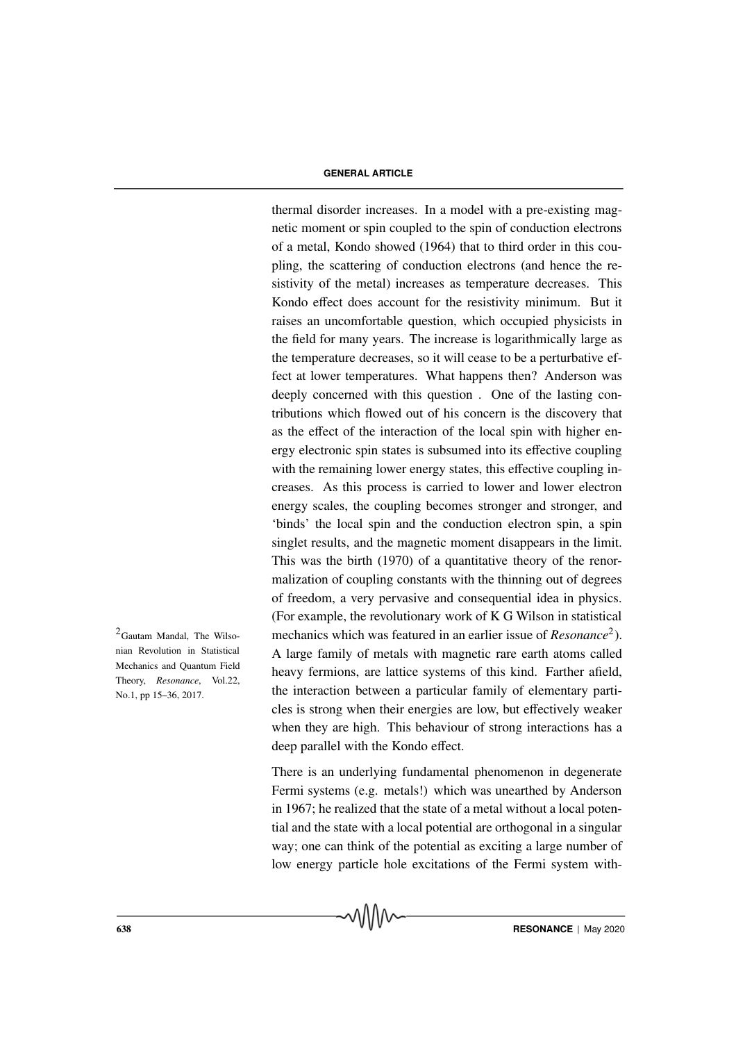thermal disorder increases. In a model with a pre-existing magnetic moment or spin coupled to the spin of conduction electrons of a metal, Kondo showed (1964) that to third order in this coupling, the scattering of conduction electrons (and hence the resistivity of the metal) increases as temperature decreases. This Kondo effect does account for the resistivity minimum. But it raises an uncomfortable question, which occupied physicists in the field for many years. The increase is logarithmically large as the temperature decreases, so it will cease to be a perturbative effect at lower temperatures. What happens then? Anderson was deeply concerned with this question . One of the lasting contributions which flowed out of his concern is the discovery that as the effect of the interaction of the local spin with higher energy electronic spin states is subsumed into its effective coupling with the remaining lower energy states, this effective coupling increases. As this process is carried to lower and lower electron energy scales, the coupling becomes stronger and stronger, and 'binds' the local spin and the conduction electron spin, a spin singlet results, and the magnetic moment disappears in the limit. This was the birth (1970) of a quantitative theory of the renormalization of coupling constants with the thinning out of degrees of freedom, a very pervasive and consequential idea in physics. (For example, the revolutionary work of K G Wilson in statistical  $^{2}$ Gautam Mandal, The Wilso- mechanics which was featured in an earlier issue of *Resonance*<sup>2</sup>). A large family of metals with magnetic rare earth atoms called heavy fermions, are lattice systems of this kind. Farther afield, the interaction between a particular family of elementary particles is strong when their energies are low, but effectively weaker when they are high. This behaviour of strong interactions has a deep parallel with the Kondo effect.

> There is an underlying fundamental phenomenon in degenerate Fermi systems (e.g. metals!) which was unearthed by Anderson in 1967; he realized that the state of a metal without a local potential and the state with a local potential are orthogonal in a singular way; one can think of the potential as exciting a large number of low energy particle hole excitations of the Fermi system with-

nian Revolution in Statistical Mechanics and Quantum Field Theory, *Resonance*, Vol.22, No.1, pp 15–36, 2017.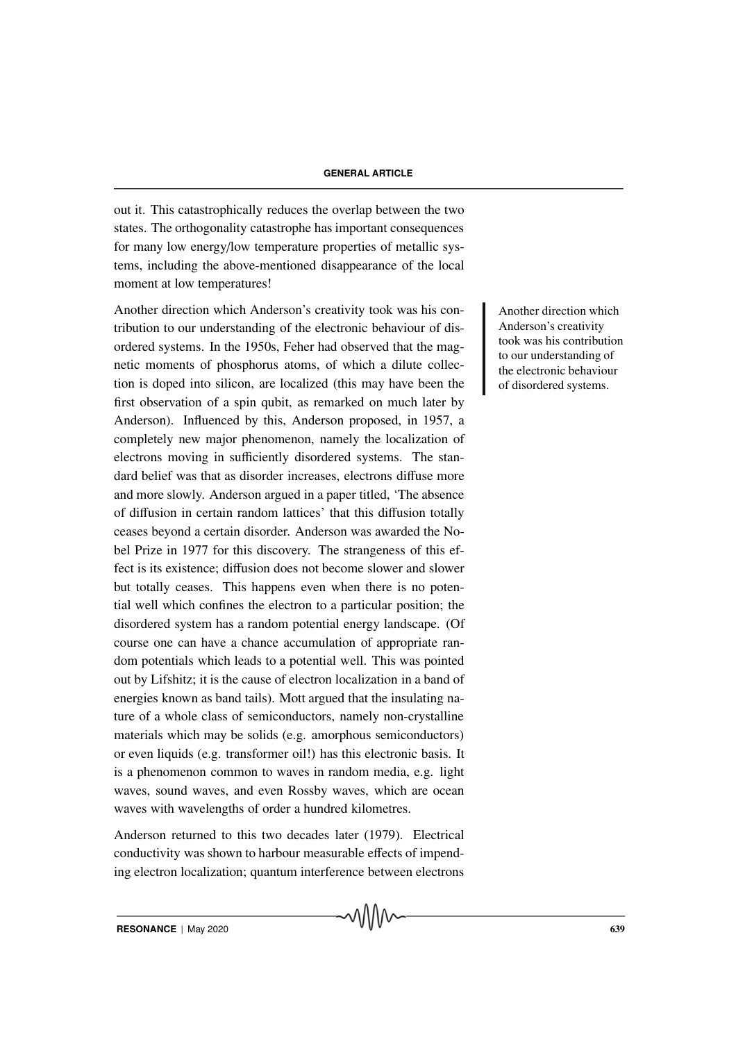out it. This catastrophically reduces the overlap between the two states. The orthogonality catastrophe has important consequences for many low energy/low temperature properties of metallic systems, including the above-mentioned disappearance of the local moment at low temperatures!

Another direction which Anderson's creativity took was his con-<br>Another direction which tribution to our understanding of the electronic behaviour of disordered systems. In the 1950s, Feher had observed that the magnetic moments of phosphorus atoms, of which a dilute collection is doped into silicon, are localized (this may have been the first observation of a spin qubit, as remarked on much later by Anderson). Influenced by this, Anderson proposed, in 1957, a completely new major phenomenon, namely the localization of electrons moving in sufficiently disordered systems. The standard belief was that as disorder increases, electrons diffuse more and more slowly. Anderson argued in a paper titled, 'The absence of diffusion in certain random lattices' that this diffusion totally ceases beyond a certain disorder. Anderson was awarded the Nobel Prize in 1977 for this discovery. The strangeness of this effect is its existence; diffusion does not become slower and slower but totally ceases. This happens even when there is no potential well which confines the electron to a particular position; the disordered system has a random potential energy landscape. (Of course one can have a chance accumulation of appropriate random potentials which leads to a potential well. This was pointed out by Lifshitz; it is the cause of electron localization in a band of energies known as band tails). Mott argued that the insulating nature of a whole class of semiconductors, namely non-crystalline materials which may be solids (e.g. amorphous semiconductors) or even liquids (e.g. transformer oil!) has this electronic basis. It is a phenomenon common to waves in random media, e.g. light waves, sound waves, and even Rossby waves, which are ocean waves with wavelengths of order a hundred kilometres.

Anderson returned to this two decades later (1979). Electrical conductivity was shown to harbour measurable effects of impending electron localization; quantum interference between electrons

Anderson's creativity took was his contribution to our understanding of the electronic behaviour of disordered systems.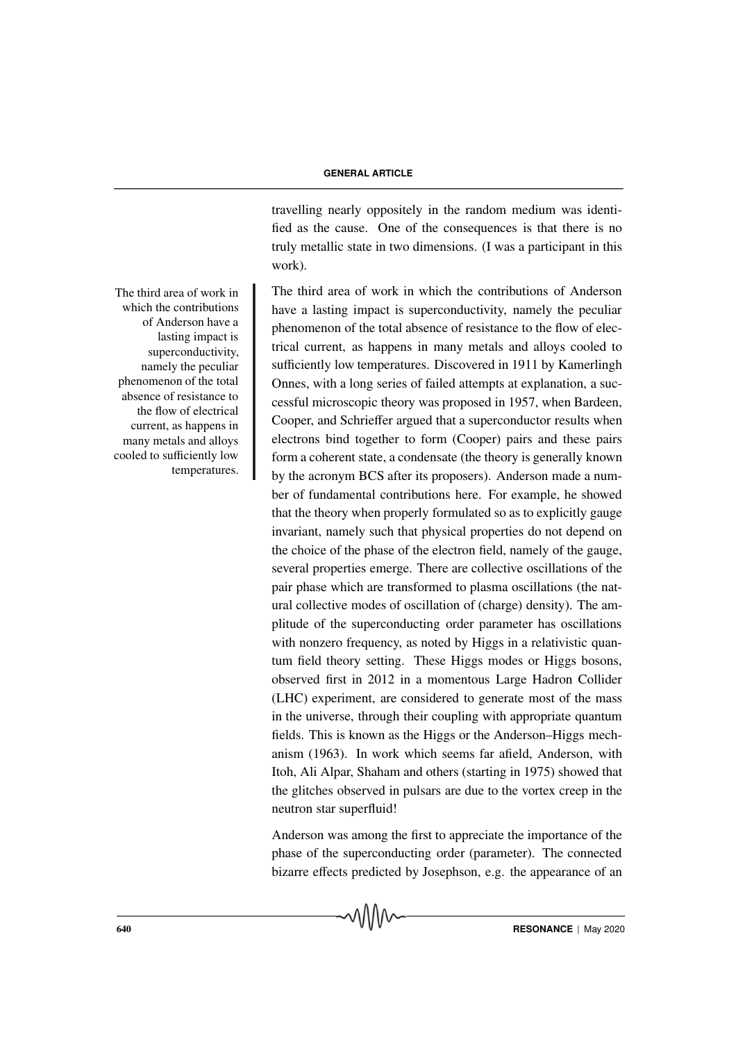travelling nearly oppositely in the random medium was identified as the cause. One of the consequences is that there is no truly metallic state in two dimensions. (I was a participant in this work).

The third area of work in which the contributions of Anderson have a lasting impact is superconductivity, namely the peculiar phenomenon of the total absence of resistance to the flow of electrical current, as happens in many metals and alloys cooled to sufficiently low temperatures. Discovered in 1911 by Kamerlingh Onnes, with a long series of failed attempts at explanation, a successful microscopic theory was proposed in 1957, when Bardeen, Cooper, and Schrieffer argued that a superconductor results when electrons bind together to form (Cooper) pairs and these pairs form a coherent state, a condensate (the theory is generally known by the acronym BCS after its proposers). Anderson made a number of fundamental contributions here. For example, he showed that the theory when properly formulated so as to explicitly gauge invariant, namely such that physical properties do not depend on the choice of the phase of the electron field, namely of the gauge, several properties emerge. There are collective oscillations of the pair phase which are transformed to plasma oscillations (the natural collective modes of oscillation of (charge) density). The amplitude of the superconducting order parameter has oscillations with nonzero frequency, as noted by Higgs in a relativistic quantum field theory setting. These Higgs modes or Higgs bosons, observed first in 2012 in a momentous Large Hadron Collider (LHC) experiment, are considered to generate most of the mass in the universe, through their coupling with appropriate quantum fields. This is known as the Higgs or the Anderson–Higgs mechanism (1963). In work which seems far afield, Anderson, with Itoh, Ali Alpar, Shaham and others (starting in 1975) showed that the glitches observed in pulsars are due to the vortex creep in the neutron star superfluid!

Anderson was among the first to appreciate the importance of the phase of the superconducting order (parameter). The connected bizarre effects predicted by Josephson, e.g. the appearance of an

The third area of work in which the contributions of Anderson have a lasting impact is superconductivity, namely the peculiar phenomenon of the total absence of resistance to the flow of electrical current, as happens in many metals and alloys cooled to sufficiently low temperatures.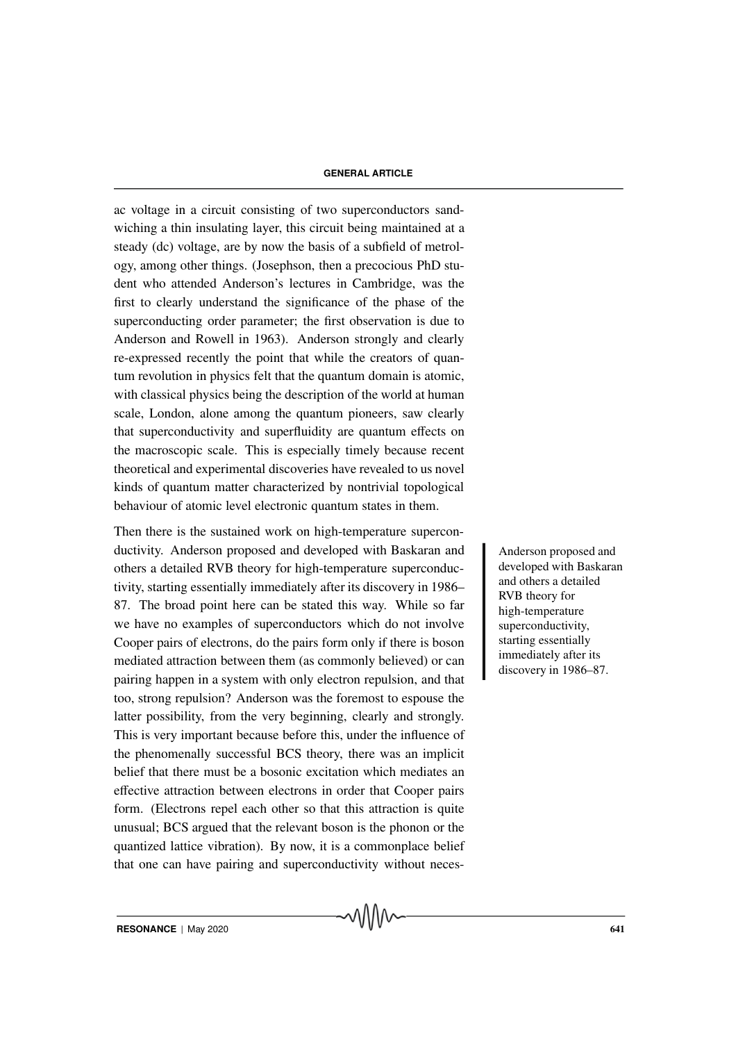ac voltage in a circuit consisting of two superconductors sandwiching a thin insulating layer, this circuit being maintained at a steady (dc) voltage, are by now the basis of a subfield of metrology, among other things. (Josephson, then a precocious PhD student who attended Anderson's lectures in Cambridge, was the first to clearly understand the significance of the phase of the superconducting order parameter; the first observation is due to Anderson and Rowell in 1963). Anderson strongly and clearly re-expressed recently the point that while the creators of quantum revolution in physics felt that the quantum domain is atomic, with classical physics being the description of the world at human scale, London, alone among the quantum pioneers, saw clearly that superconductivity and superfluidity are quantum effects on the macroscopic scale. This is especially timely because recent theoretical and experimental discoveries have revealed to us novel kinds of quantum matter characterized by nontrivial topological behaviour of atomic level electronic quantum states in them.

Then there is the sustained work on high-temperature superconductivity. Anderson proposed and developed with Baskaran and Anderson proposed and others a detailed RVB theory for high-temperature superconductivity, starting essentially immediately after its discovery in 1986– 87. The broad point here can be stated this way. While so far we have no examples of superconductors which do not involve Cooper pairs of electrons, do the pairs form only if there is boson mediated attraction between them (as commonly believed) or can pairing happen in a system with only electron repulsion, and that too, strong repulsion? Anderson was the foremost to espouse the latter possibility, from the very beginning, clearly and strongly. This is very important because before this, under the influence of the phenomenally successful BCS theory, there was an implicit belief that there must be a bosonic excitation which mediates an effective attraction between electrons in order that Cooper pairs form. (Electrons repel each other so that this attraction is quite unusual; BCS argued that the relevant boson is the phonon or the quantized lattice vibration). By now, it is a commonplace belief that one can have pairing and superconductivity without neces-

developed with Baskaran and others a detailed RVB theory for high-temperature superconductivity, starting essentially immediately after its discovery in 1986–87.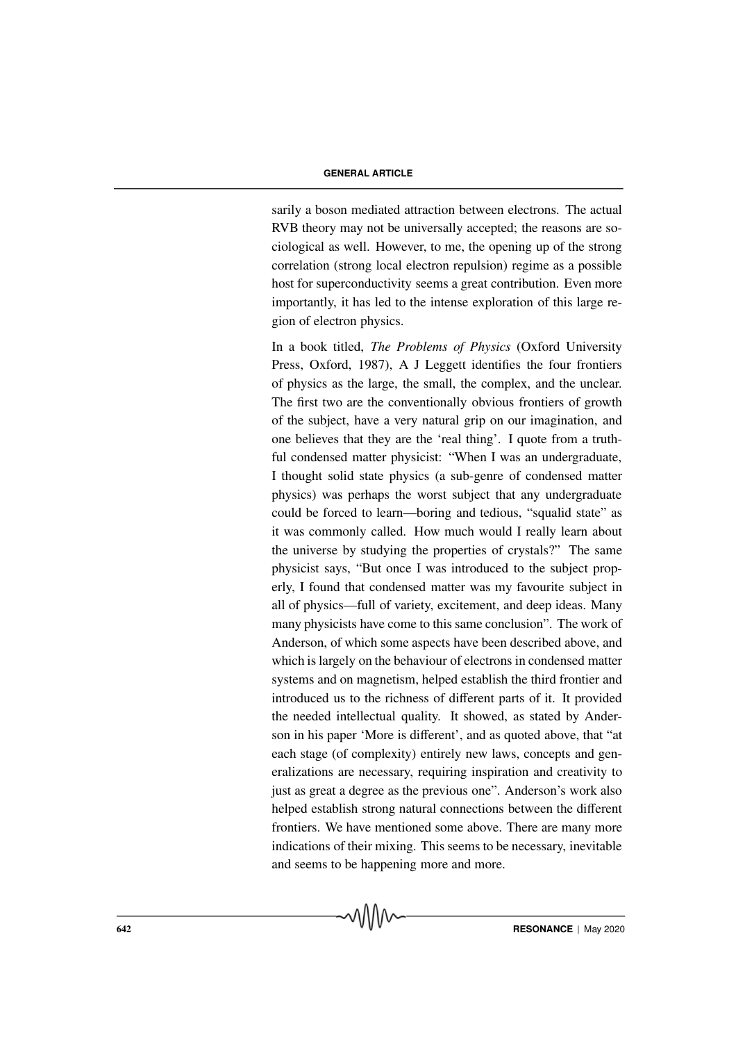sarily a boson mediated attraction between electrons. The actual RVB theory may not be universally accepted; the reasons are sociological as well. However, to me, the opening up of the strong correlation (strong local electron repulsion) regime as a possible host for superconductivity seems a great contribution. Even more importantly, it has led to the intense exploration of this large region of electron physics.

In a book titled, *The Problems of Physics* (Oxford University Press, Oxford, 1987), A J Leggett identifies the four frontiers of physics as the large, the small, the complex, and the unclear. The first two are the conventionally obvious frontiers of growth of the subject, have a very natural grip on our imagination, and one believes that they are the 'real thing'. I quote from a truthful condensed matter physicist: "When I was an undergraduate, I thought solid state physics (a sub-genre of condensed matter physics) was perhaps the worst subject that any undergraduate could be forced to learn—boring and tedious, "squalid state" as it was commonly called. How much would I really learn about the universe by studying the properties of crystals?" The same physicist says, "But once I was introduced to the subject properly, I found that condensed matter was my favourite subject in all of physics—full of variety, excitement, and deep ideas. Many many physicists have come to this same conclusion". The work of Anderson, of which some aspects have been described above, and which is largely on the behaviour of electrons in condensed matter systems and on magnetism, helped establish the third frontier and introduced us to the richness of different parts of it. It provided the needed intellectual quality. It showed, as stated by Anderson in his paper 'More is different', and as quoted above, that "at each stage (of complexity) entirely new laws, concepts and generalizations are necessary, requiring inspiration and creativity to just as great a degree as the previous one". Anderson's work also helped establish strong natural connections between the different frontiers. We have mentioned some above. There are many more indications of their mixing. This seems to be necessary, inevitable and seems to be happening more and more.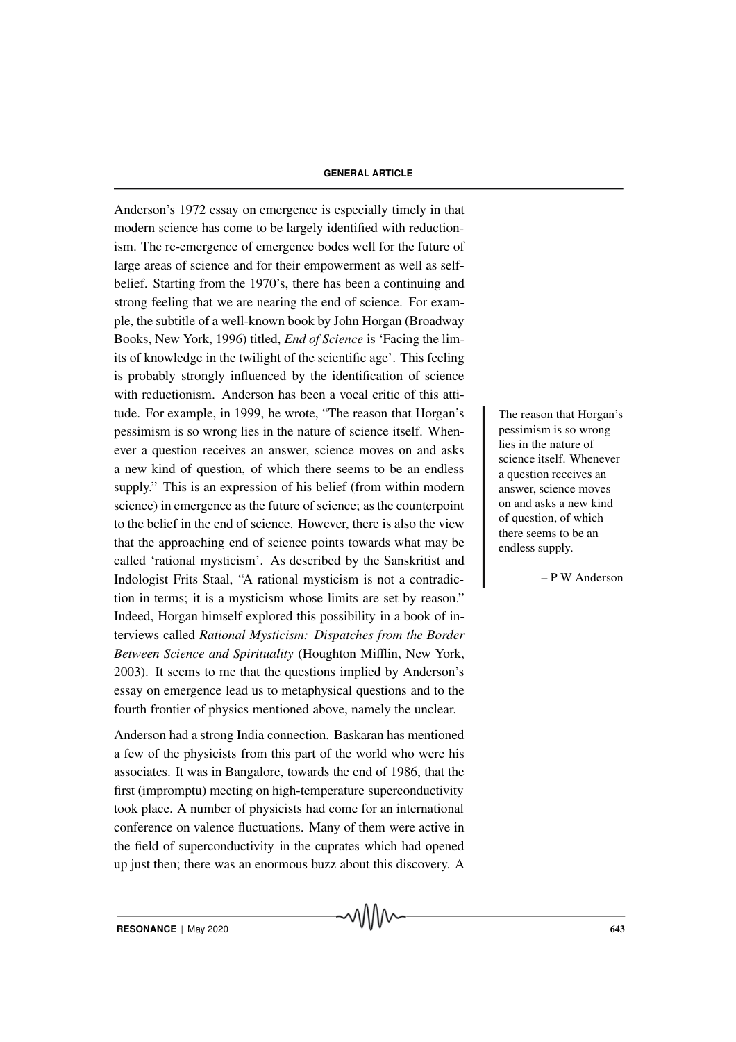Anderson's 1972 essay on emergence is especially timely in that modern science has come to be largely identified with reductionism. The re-emergence of emergence bodes well for the future of large areas of science and for their empowerment as well as selfbelief. Starting from the 1970's, there has been a continuing and strong feeling that we are nearing the end of science. For example, the subtitle of a well-known book by John Horgan (Broadway Books, New York, 1996) titled, *End of Science* is 'Facing the limits of knowledge in the twilight of the scientific age'. This feeling is probably strongly influenced by the identification of science with reductionism. Anderson has been a vocal critic of this attitude. For example, in 1999, he wrote, "The reason that Horgan's The reason that Horgan's pessimism is so wrong lies in the nature of science itself. Whenever a question receives an answer, science moves on and asks a new kind of question, of which there seems to be an endless supply." This is an expression of his belief (from within modern science) in emergence as the future of science; as the counterpoint to the belief in the end of science. However, there is also the view that the approaching end of science points towards what may be called 'rational mysticism'. As described by the Sanskritist and Indologist Frits Staal, "A rational mysticism is not a contradiction in terms; it is a mysticism whose limits are set by reason." Indeed, Horgan himself explored this possibility in a book of interviews called *Rational Mysticism: Dispatches from the Border Between Science and Spirituality* (Houghton Mifflin, New York, 2003). It seems to me that the questions implied by Anderson's essay on emergence lead us to metaphysical questions and to the fourth frontier of physics mentioned above, namely the unclear.

Anderson had a strong India connection. Baskaran has mentioned a few of the physicists from this part of the world who were his associates. It was in Bangalore, towards the end of 1986, that the first (impromptu) meeting on high-temperature superconductivity took place. A number of physicists had come for an international conference on valence fluctuations. Many of them were active in the field of superconductivity in the cuprates which had opened up just then; there was an enormous buzz about this discovery. A pessimism is so wrong lies in the nature of science itself. Whenever a question receives an answer, science moves on and asks a new kind of question, of which there seems to be an endless supply.

– P W Anderson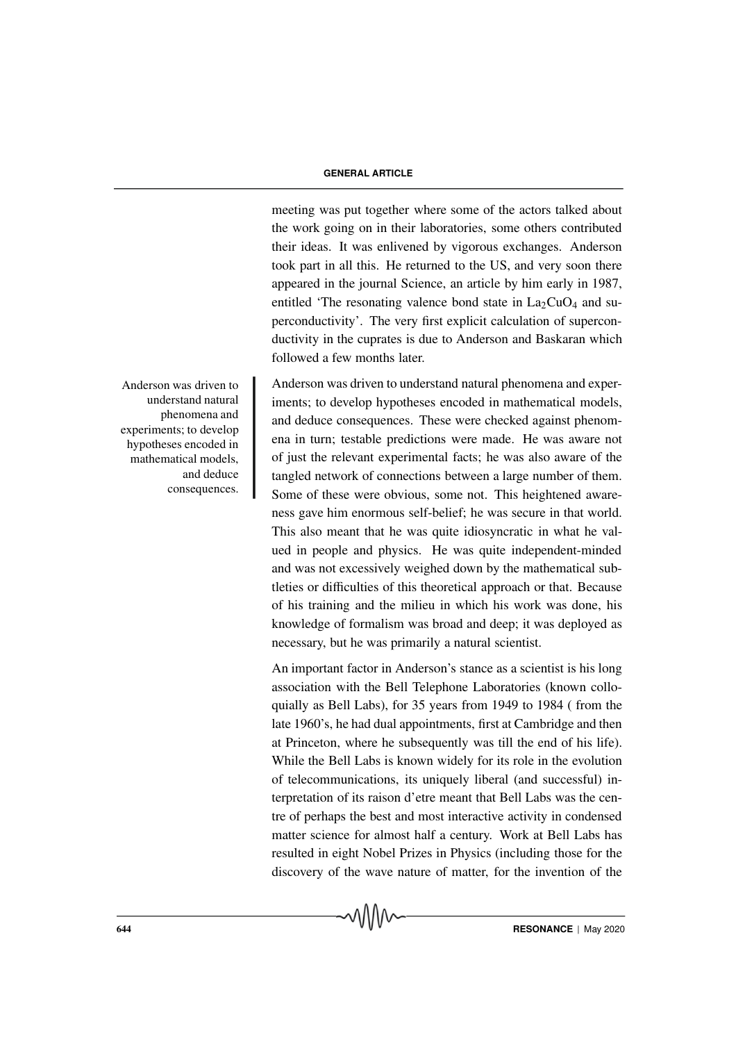meeting was put together where some of the actors talked about the work going on in their laboratories, some others contributed their ideas. It was enlivened by vigorous exchanges. Anderson took part in all this. He returned to the US, and very soon there appeared in the journal Science, an article by him early in 1987, entitled 'The resonating valence bond state in  $La_2CuO_4$  and superconductivity'. The very first explicit calculation of superconductivity in the cuprates is due to Anderson and Baskaran which followed a few months later.

Anderson was driven to understand natural phenomena and experiments; to develop hypotheses encoded in mathematical models, and deduce consequences. These were checked against phenomena in turn; testable predictions were made. He was aware not of just the relevant experimental facts; he was also aware of the tangled network of connections between a large number of them. Some of these were obvious, some not. This heightened awareness gave him enormous self-belief; he was secure in that world. This also meant that he was quite idiosyncratic in what he valued in people and physics. He was quite independent-minded and was not excessively weighed down by the mathematical subtleties or difficulties of this theoretical approach or that. Because of his training and the milieu in which his work was done, his knowledge of formalism was broad and deep; it was deployed as necessary, but he was primarily a natural scientist.

An important factor in Anderson's stance as a scientist is his long association with the Bell Telephone Laboratories (known colloquially as Bell Labs), for 35 years from 1949 to 1984 ( from the late 1960's, he had dual appointments, first at Cambridge and then at Princeton, where he subsequently was till the end of his life). While the Bell Labs is known widely for its role in the evolution of telecommunications, its uniquely liberal (and successful) interpretation of its raison d'etre meant that Bell Labs was the centre of perhaps the best and most interactive activity in condensed matter science for almost half a century. Work at Bell Labs has resulted in eight Nobel Prizes in Physics (including those for the discovery of the wave nature of matter, for the invention of the

Anderson was driven to understand natural phenomena and experiments; to develop hypotheses encoded in mathematical models, and deduce consequences.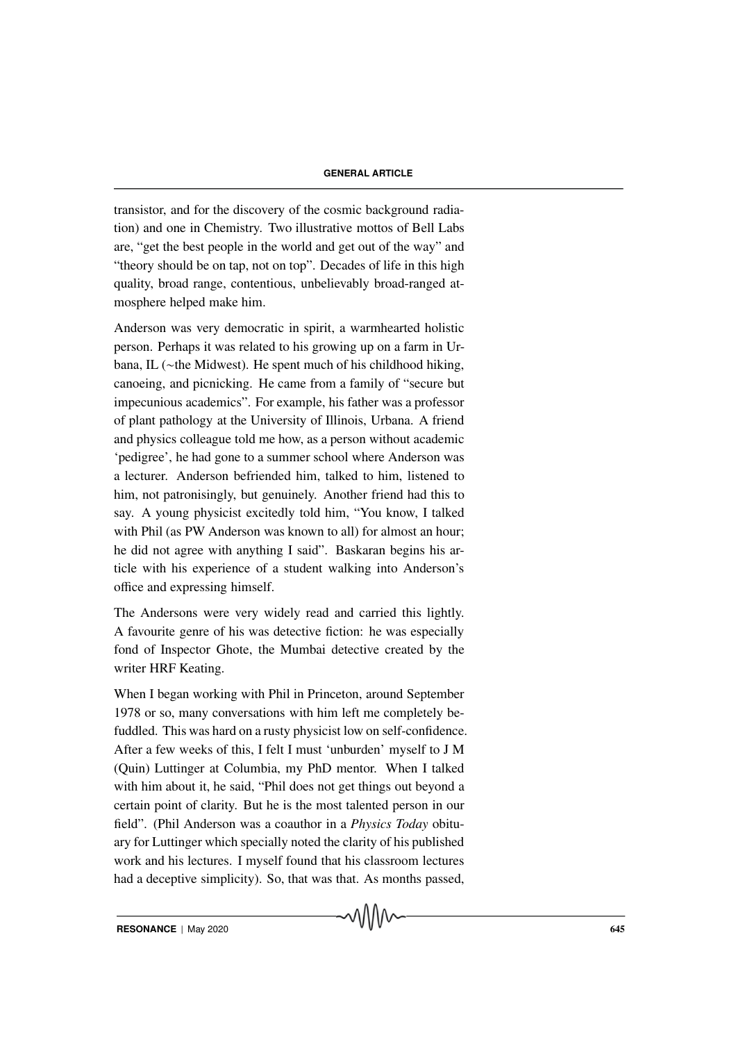transistor, and for the discovery of the cosmic background radiation) and one in Chemistry. Two illustrative mottos of Bell Labs are, "get the best people in the world and get out of the way" and "theory should be on tap, not on top". Decades of life in this high quality, broad range, contentious, unbelievably broad-ranged atmosphere helped make him.

Anderson was very democratic in spirit, a warmhearted holistic person. Perhaps it was related to his growing up on a farm in Urbana, IL (∼the Midwest). He spent much of his childhood hiking, canoeing, and picnicking. He came from a family of "secure but impecunious academics". For example, his father was a professor of plant pathology at the University of Illinois, Urbana. A friend and physics colleague told me how, as a person without academic 'pedigree', he had gone to a summer school where Anderson was a lecturer. Anderson befriended him, talked to him, listened to him, not patronisingly, but genuinely. Another friend had this to say. A young physicist excitedly told him, "You know, I talked with Phil (as PW Anderson was known to all) for almost an hour; he did not agree with anything I said". Baskaran begins his article with his experience of a student walking into Anderson's office and expressing himself.

The Andersons were very widely read and carried this lightly. A favourite genre of his was detective fiction: he was especially fond of Inspector Ghote, the Mumbai detective created by the writer HRF Keating.

When I began working with Phil in Princeton, around September 1978 or so, many conversations with him left me completely befuddled. This was hard on a rusty physicist low on self-confidence. After a few weeks of this, I felt I must 'unburden' myself to J M (Quin) Luttinger at Columbia, my PhD mentor. When I talked with him about it, he said, "Phil does not get things out beyond a certain point of clarity. But he is the most talented person in our field". (Phil Anderson was a coauthor in a *Physics Today* obituary for Luttinger which specially noted the clarity of his published work and his lectures. I myself found that his classroom lectures had a deceptive simplicity). So, that was that. As months passed,